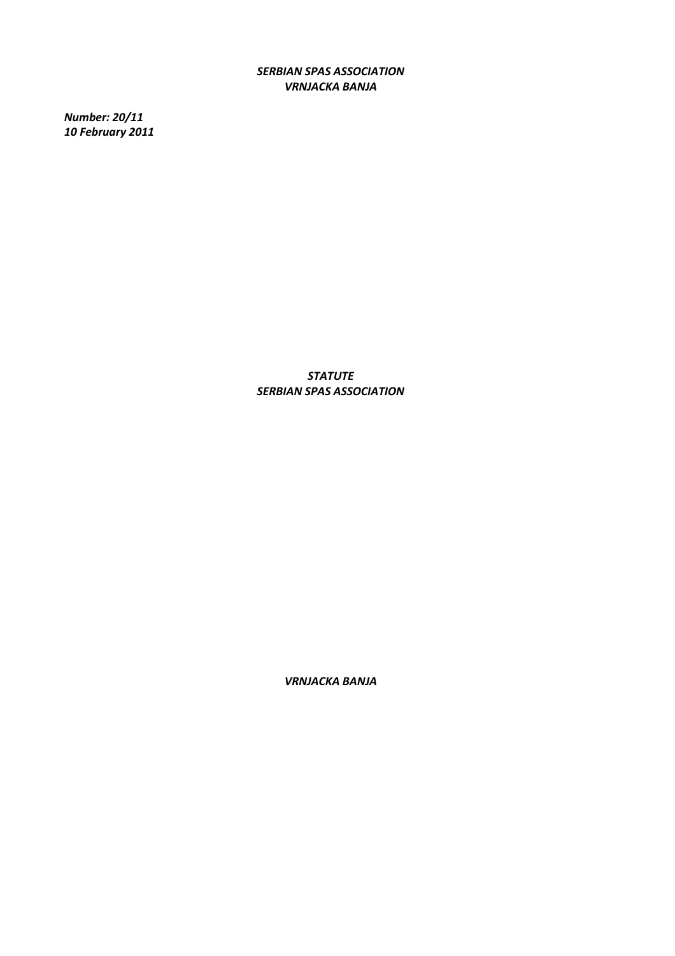*SERBIAN SPAS ASSOCIATION VRNJACKA BANJA* 

*Number: 20/11 10 February 2011* 

> *STATUTE SERBIAN SPAS ASSOCIATION*

> > *VRNJACKA BANJA*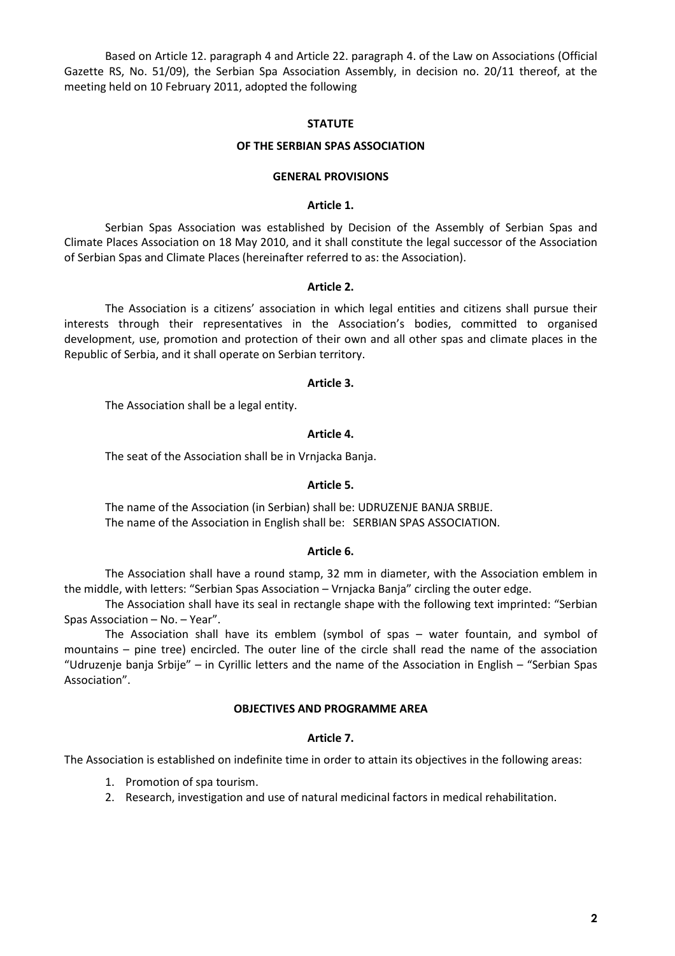Based on Article 12. paragraph 4 and Article 22. paragraph 4. of the Law on Associations (Official Gazette RS, No. 51/09), the Serbian Spa Association Assembly, in decision no. 20/11 thereof, at the meeting held on 10 February 2011, adopted the following

## **STATUTE**

## **OF THE SERBIAN SPAS ASSOCIATION**

#### **GENERAL PROVISIONS**

## **Article 1.**

 Serbian Spas Association was established by Decision of the Assembly of Serbian Spas and Climate Places Association on 18 May 2010, and it shall constitute the legal successor of the Association of Serbian Spas and Climate Places (hereinafter referred to as: the Association).

#### **Article 2.**

The Association is a citizens' association in which legal entities and citizens shall pursue their interests through their representatives in the Association's bodies, committed to organised development, use, promotion and protection of their own and all other spas and climate places in the Republic of Serbia, and it shall operate on Serbian territory.

#### **Article 3.**

The Association shall be a legal entity.

### **Article 4.**

The seat of the Association shall be in Vrnjacka Banja.

#### **Article 5.**

 The name of the Association (in Serbian) shall be: UDRUZENJE BANJA SRBIJE. The name of the Association in English shall be: SERBIAN SPAS ASSOCIATION.

#### **Article 6.**

 The Association shall have a round stamp, 32 mm in diameter, with the Association emblem in the middle, with letters: "Serbian Spas Association – Vrnjacka Banja" circling the outer edge.

 The Association shall have its seal in rectangle shape with the following text imprinted: "Serbian Spas Association – No. – Year".

 The Association shall have its emblem (symbol of spas – water fountain, and symbol of mountains – pine tree) encircled. The outer line of the circle shall read the name of the association "Udruzenje banja Srbije" – in Cyrillic letters and the name of the Association in English – "Serbian Spas Association".

### **OBJECTIVES AND PROGRAMME AREA**

#### **Article 7.**

The Association is established on indefinite time in order to attain its objectives in the following areas:

- 1. Promotion of spa tourism.
- 2. Research, investigation and use of natural medicinal factors in medical rehabilitation.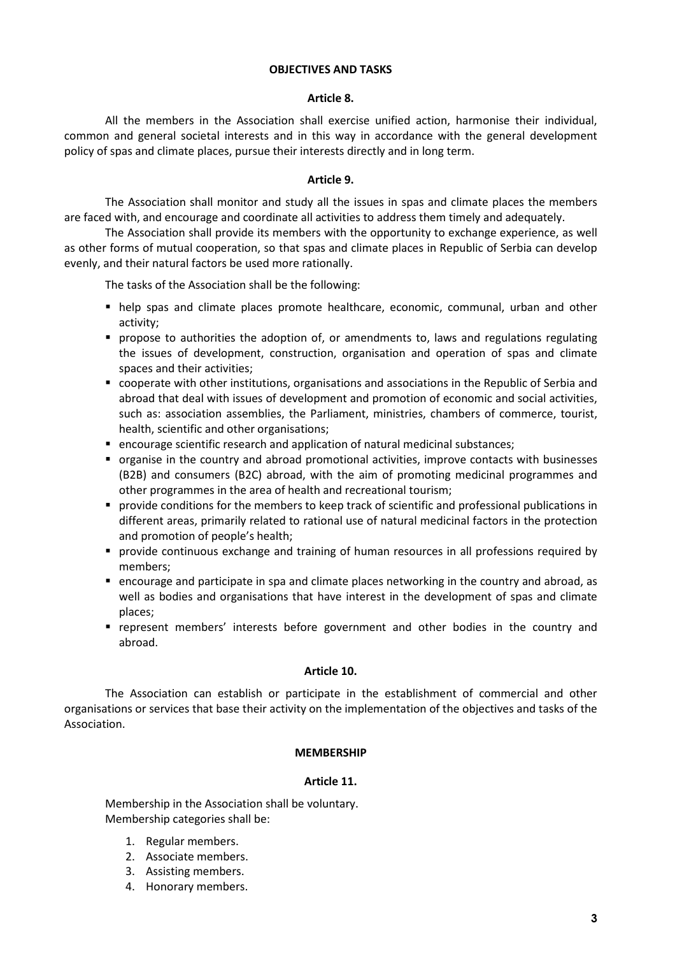# **OBJECTIVES AND TASKS**

## **Article 8.**

 All the members in the Association shall exercise unified action, harmonise their individual, common and general societal interests and in this way in accordance with the general development policy of spas and climate places, pursue their interests directly and in long term.

# **Article 9.**

 The Association shall monitor and study all the issues in spas and climate places the members are faced with, and encourage and coordinate all activities to address them timely and adequately.

 The Association shall provide its members with the opportunity to exchange experience, as well as other forms of mutual cooperation, so that spas and climate places in Republic of Serbia can develop evenly, and their natural factors be used more rationally.

The tasks of the Association shall be the following:

- help spas and climate places promote healthcare, economic, communal, urban and other activity;
- **•** propose to authorities the adoption of, or amendments to, laws and regulations regulating the issues of development, construction, organisation and operation of spas and climate spaces and their activities;
- cooperate with other institutions, organisations and associations in the Republic of Serbia and abroad that deal with issues of development and promotion of economic and social activities, such as: association assemblies, the Parliament, ministries, chambers of commerce, tourist, health, scientific and other organisations;
- encourage scientific research and application of natural medicinal substances;
- organise in the country and abroad promotional activities, improve contacts with businesses (B2B) and consumers (B2C) abroad, with the aim of promoting medicinal programmes and other programmes in the area of health and recreational tourism;
- provide conditions for the members to keep track of scientific and professional publications in different areas, primarily related to rational use of natural medicinal factors in the protection and promotion of people's health;
- provide continuous exchange and training of human resources in all professions required by members;
- encourage and participate in spa and climate places networking in the country and abroad, as well as bodies and organisations that have interest in the development of spas and climate places;
- represent members' interests before government and other bodies in the country and abroad.

## **Article 10.**

 The Association can establish or participate in the establishment of commercial and other organisations or services that base their activity on the implementation of the objectives and tasks of the Association.

## **MEMBERSHIP**

## **Article 11.**

 Membership in the Association shall be voluntary. Membership categories shall be:

- 1. Regular members.
- 2. Associate members.
- 3. Assisting members.
- 4. Honorary members.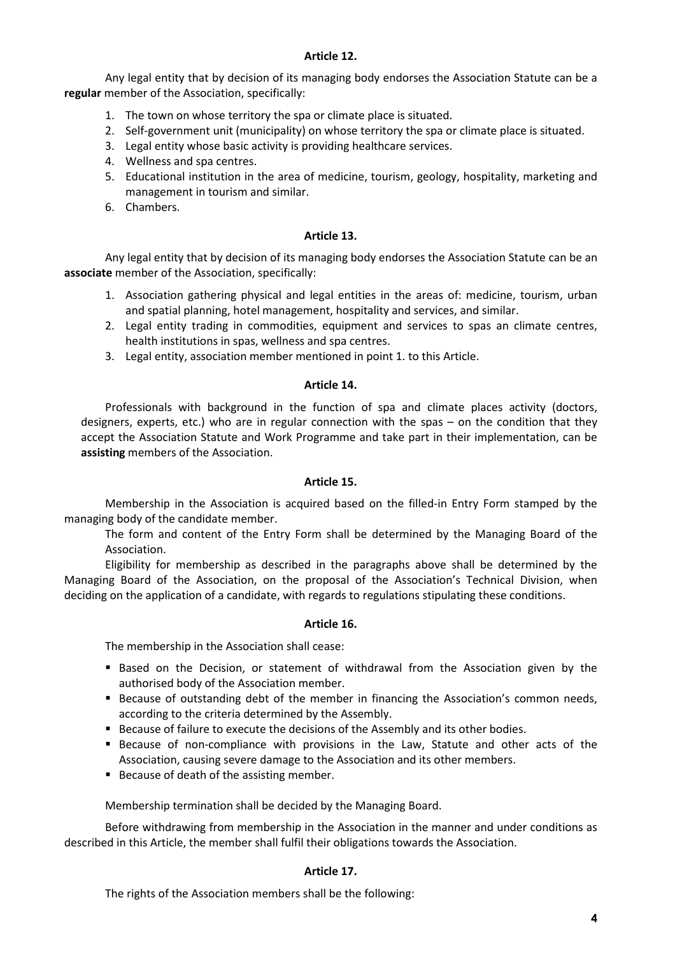# **Article 12.**

 Any legal entity that by decision of its managing body endorses the Association Statute can be a **regular** member of the Association, specifically:

- 1. The town on whose territory the spa or climate place is situated.
- 2. Self-government unit (municipality) on whose territory the spa or climate place is situated.
- 3. Legal entity whose basic activity is providing healthcare services.
- 4. Wellness and spa centres.
- 5. Educational institution in the area of medicine, tourism, geology, hospitality, marketing and management in tourism and similar.
- 6. Chambers.

# **Article 13.**

Any legal entity that by decision of its managing body endorses the Association Statute can be an **associate** member of the Association, specifically:

- 1. Association gathering physical and legal entities in the areas of: medicine, tourism, urban and spatial planning, hotel management, hospitality and services, and similar.
- 2. Legal entity trading in commodities, equipment and services to spas an climate centres, health institutions in spas, wellness and spa centres.
- 3. Legal entity, association member mentioned in point 1. to this Article.

# **Article 14.**

Professionals with background in the function of spa and climate places activity (doctors, designers, experts, etc.) who are in regular connection with the spas – on the condition that they accept the Association Statute and Work Programme and take part in their implementation, can be **assisting** members of the Association.

# **Article 15.**

 Membership in the Association is acquired based on the filled-in Entry Form stamped by the managing body of the candidate member.

The form and content of the Entry Form shall be determined by the Managing Board of the Association.

 Eligibility for membership as described in the paragraphs above shall be determined by the Managing Board of the Association, on the proposal of the Association's Technical Division, when deciding on the application of a candidate, with regards to regulations stipulating these conditions.

# **Article 16.**

The membership in the Association shall cease:

- **Based on the Decision, or statement of withdrawal from the Association given by the** authorised body of the Association member.
- **Because of outstanding debt of the member in financing the Association's common needs,** according to the criteria determined by the Assembly.
- Because of failure to execute the decisions of the Assembly and its other bodies.
- Because of non-compliance with provisions in the Law, Statute and other acts of the Association, causing severe damage to the Association and its other members.
- Because of death of the assisting member.

Membership termination shall be decided by the Managing Board.

 Before withdrawing from membership in the Association in the manner and under conditions as described in this Article, the member shall fulfil their obligations towards the Association.

# **Article 17.**

The rights of the Association members shall be the following: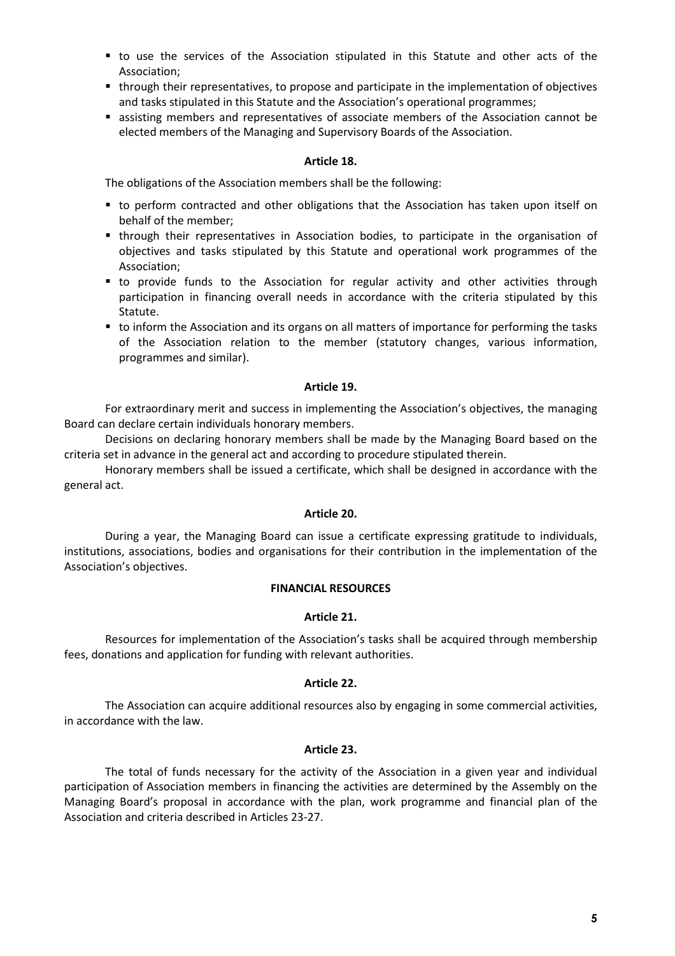- to use the services of the Association stipulated in this Statute and other acts of the Association;
- through their representatives, to propose and participate in the implementation of objectives and tasks stipulated in this Statute and the Association's operational programmes;
- assisting members and representatives of associate members of the Association cannot be elected members of the Managing and Supervisory Boards of the Association.

## **Article 18.**

The obligations of the Association members shall be the following:

- to perform contracted and other obligations that the Association has taken upon itself on behalf of the member;
- through their representatives in Association bodies, to participate in the organisation of objectives and tasks stipulated by this Statute and operational work programmes of the Association;
- to provide funds to the Association for regular activity and other activities through participation in financing overall needs in accordance with the criteria stipulated by this Statute.
- to inform the Association and its organs on all matters of importance for performing the tasks of the Association relation to the member (statutory changes, various information, programmes and similar).

## **Article 19.**

 For extraordinary merit and success in implementing the Association's objectives, the managing Board can declare certain individuals honorary members.

 Decisions on declaring honorary members shall be made by the Managing Board based on the criteria set in advance in the general act and according to procedure stipulated therein.

 Honorary members shall be issued a certificate, which shall be designed in accordance with the general act.

## **Article 20.**

 During a year, the Managing Board can issue a certificate expressing gratitude to individuals, institutions, associations, bodies and organisations for their contribution in the implementation of the Association's objectives.

## **FINANCIAL RESOURCES**

# **Article 21.**

 Resources for implementation of the Association's tasks shall be acquired through membership fees, donations and application for funding with relevant authorities.

# **Article 22.**

 The Association can acquire additional resources also by engaging in some commercial activities, in accordance with the law.

## **Article 23.**

 The total of funds necessary for the activity of the Association in a given year and individual participation of Association members in financing the activities are determined by the Assembly on the Managing Board's proposal in accordance with the plan, work programme and financial plan of the Association and criteria described in Articles 23-27.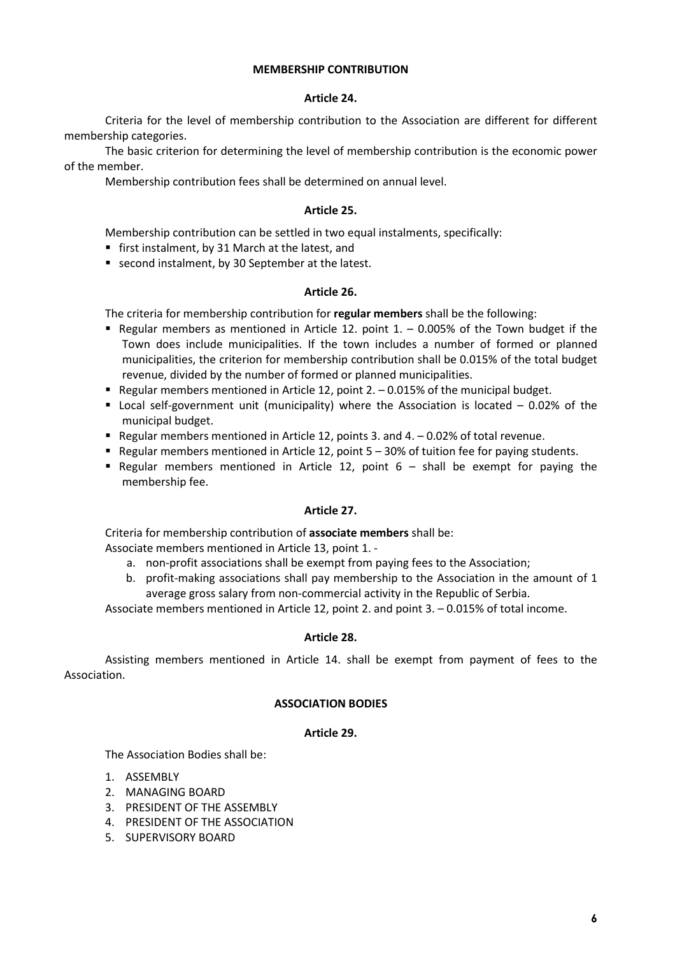## **MEMBERSHIP CONTRIBUTION**

## **Article 24.**

Criteria for the level of membership contribution to the Association are different for different membership categories.

The basic criterion for determining the level of membership contribution is the economic power of the member.

Membership contribution fees shall be determined on annual level.

# **Article 25.**

Membership contribution can be settled in two equal instalments, specifically:

- first instalment, by 31 March at the latest, and
- second instalment, by 30 September at the latest.

## **Article 26.**

The criteria for membership contribution for **regular members** shall be the following:

- Regular members as mentioned in Article 12. point  $1. -0.005\%$  of the Town budget if the Town does include municipalities. If the town includes a number of formed or planned municipalities, the criterion for membership contribution shall be 0.015% of the total budget revenue, divided by the number of formed or planned municipalities.
- Regular members mentioned in Article 12, point  $2. -0.015\%$  of the municipal budget.
- Local self-government unit (municipality) where the Association is located 0.02% of the municipal budget.
- Regular members mentioned in Article 12, points 3. and  $4. -0.02\%$  of total revenue.
- Regular members mentioned in Article 12, point 5 30% of tuition fee for paying students.
- Regular members mentioned in Article 12, point  $6 -$  shall be exempt for paying the membership fee.

## **Article 27.**

 Criteria for membership contribution of **associate members** shall be: Associate members mentioned in Article 13, point 1. -

- a. non-profit associations shall be exempt from paying fees to the Association;
- b. profit-making associations shall pay membership to the Association in the amount of 1 average gross salary from non-commercial activity in the Republic of Serbia.

Associate members mentioned in Article 12, point 2. and point 3. – 0.015% of total income.

## **Article 28.**

 Assisting members mentioned in Article 14. shall be exempt from payment of fees to the Association.

## **ASSOCIATION BODIES**

## **Article 29.**

The Association Bodies shall be:

- 1. ASSEMBLY
- 2. MANAGING BOARD
- 3. PRESIDENT OF THE ASSEMBLY
- 4. PRESIDENT OF THE ASSOCIATION
- 5. SUPERVISORY BOARD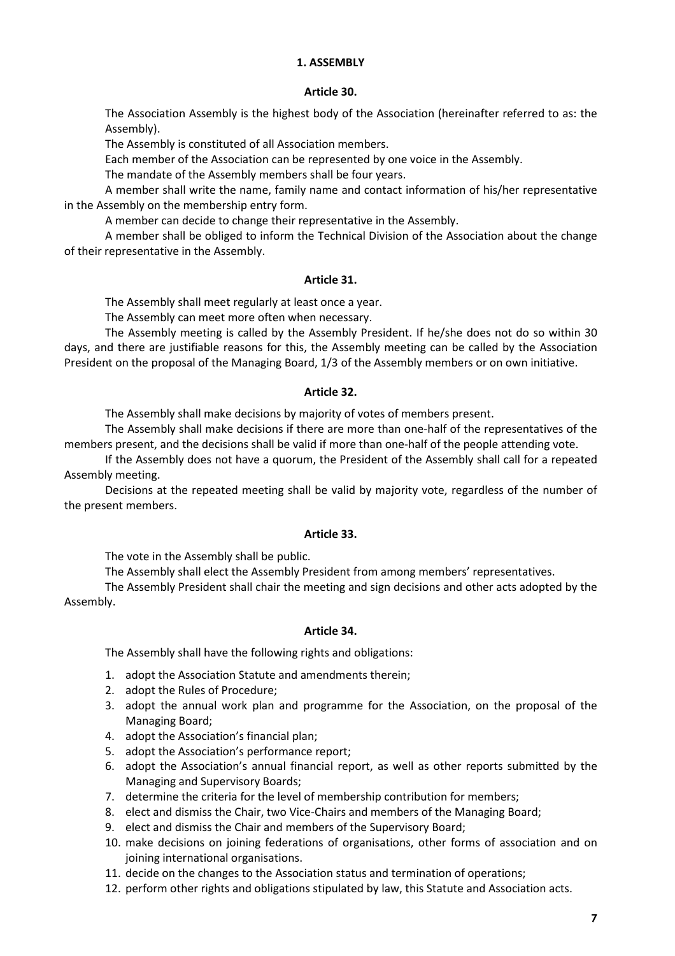# **1. ASSEMBLY**

### **Article 30.**

The Association Assembly is the highest body of the Association (hereinafter referred to as: the Assembly).

The Assembly is constituted of all Association members.

Each member of the Association can be represented by one voice in the Assembly.

The mandate of the Assembly members shall be four years.

 A member shall write the name, family name and contact information of his/her representative in the Assembly on the membership entry form.

A member can decide to change their representative in the Assembly.

A member shall be obliged to inform the Technical Division of the Association about the change of their representative in the Assembly.

## **Article 31.**

The Assembly shall meet regularly at least once a year.

The Assembly can meet more often when necessary.

The Assembly meeting is called by the Assembly President. If he/she does not do so within 30 days, and there are justifiable reasons for this, the Assembly meeting can be called by the Association President on the proposal of the Managing Board, 1/3 of the Assembly members or on own initiative.

#### **Article 32.**

The Assembly shall make decisions by majority of votes of members present.

 The Assembly shall make decisions if there are more than one-half of the representatives of the members present, and the decisions shall be valid if more than one-half of the people attending vote.

 If the Assembly does not have a quorum, the President of the Assembly shall call for a repeated Assembly meeting.

 Decisions at the repeated meeting shall be valid by majority vote, regardless of the number of the present members.

#### **Article 33.**

The vote in the Assembly shall be public.

The Assembly shall elect the Assembly President from among members' representatives.

 The Assembly President shall chair the meeting and sign decisions and other acts adopted by the Assembly.

#### **Article 34.**

The Assembly shall have the following rights and obligations:

- 1. adopt the Association Statute and amendments therein;
- 2. adopt the Rules of Procedure;
- 3. adopt the annual work plan and programme for the Association, on the proposal of the Managing Board;
- 4. adopt the Association's financial plan;
- 5. adopt the Association's performance report;
- 6. adopt the Association's annual financial report, as well as other reports submitted by the Managing and Supervisory Boards;
- 7. determine the criteria for the level of membership contribution for members;
- 8. elect and dismiss the Chair, two Vice-Chairs and members of the Managing Board;
- 9. elect and dismiss the Chair and members of the Supervisory Board;
- 10. make decisions on joining federations of organisations, other forms of association and on joining international organisations.
- 11. decide on the changes to the Association status and termination of operations;
- 12. perform other rights and obligations stipulated by law, this Statute and Association acts.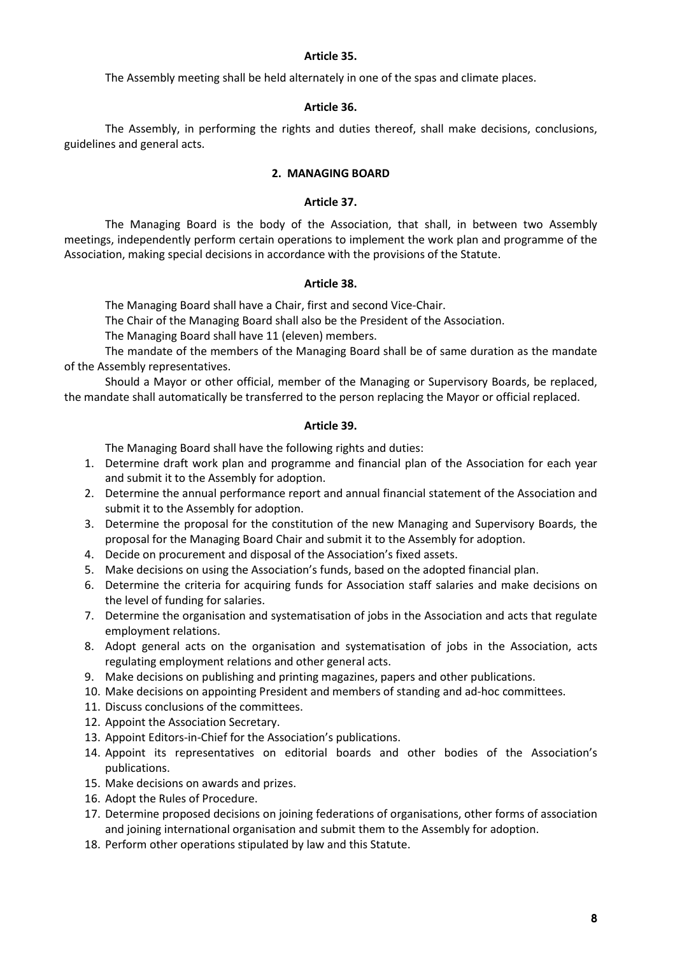# **Article 35.**

The Assembly meeting shall be held alternately in one of the spas and climate places.

# **Article 36.**

The Assembly, in performing the rights and duties thereof, shall make decisions, conclusions, guidelines and general acts.

# **2. MANAGING BOARD**

# **Article 37.**

The Managing Board is the body of the Association, that shall, in between two Assembly meetings, independently perform certain operations to implement the work plan and programme of the Association, making special decisions in accordance with the provisions of the Statute.

## **Article 38.**

The Managing Board shall have a Chair, first and second Vice-Chair.

The Chair of the Managing Board shall also be the President of the Association.

The Managing Board shall have 11 (eleven) members.

The mandate of the members of the Managing Board shall be of same duration as the mandate of the Assembly representatives.

Should a Mayor or other official, member of the Managing or Supervisory Boards, be replaced, the mandate shall automatically be transferred to the person replacing the Mayor or official replaced.

## **Article 39.**

The Managing Board shall have the following rights and duties:

- 1. Determine draft work plan and programme and financial plan of the Association for each year and submit it to the Assembly for adoption.
- 2. Determine the annual performance report and annual financial statement of the Association and submit it to the Assembly for adoption.
- 3. Determine the proposal for the constitution of the new Managing and Supervisory Boards, the proposal for the Managing Board Chair and submit it to the Assembly for adoption.
- 4. Decide on procurement and disposal of the Association's fixed assets.
- 5. Make decisions on using the Association's funds, based on the adopted financial plan.
- 6. Determine the criteria for acquiring funds for Association staff salaries and make decisions on the level of funding for salaries.
- 7. Determine the organisation and systematisation of jobs in the Association and acts that regulate employment relations.
- 8. Adopt general acts on the organisation and systematisation of jobs in the Association, acts regulating employment relations and other general acts.
- 9. Make decisions on publishing and printing magazines, papers and other publications.
- 10. Make decisions on appointing President and members of standing and ad-hoc committees.
- 11. Discuss conclusions of the committees.
- 12. Appoint the Association Secretary.
- 13. Appoint Editors-in-Chief for the Association's publications.
- 14. Appoint its representatives on editorial boards and other bodies of the Association's publications.
- 15. Make decisions on awards and prizes.
- 16. Adopt the Rules of Procedure.
- 17. Determine proposed decisions on joining federations of organisations, other forms of association and joining international organisation and submit them to the Assembly for adoption.
- 18. Perform other operations stipulated by law and this Statute.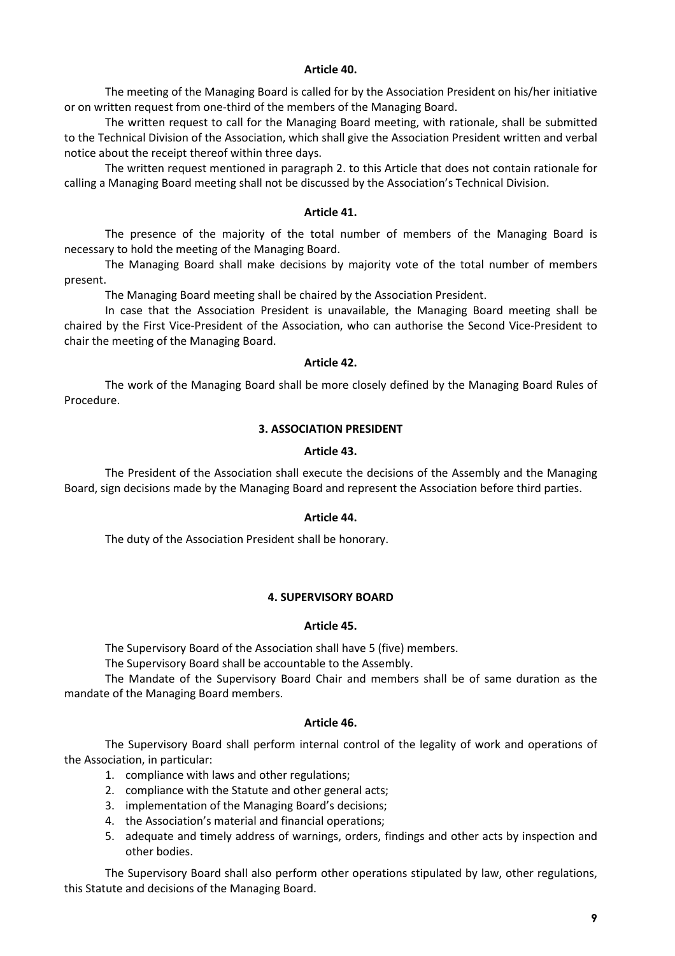## **Article 40.**

 The meeting of the Managing Board is called for by the Association President on his/her initiative or on written request from one-third of the members of the Managing Board.

 The written request to call for the Managing Board meeting, with rationale, shall be submitted to the Technical Division of the Association, which shall give the Association President written and verbal notice about the receipt thereof within three days.

 The written request mentioned in paragraph 2. to this Article that does not contain rationale for calling a Managing Board meeting shall not be discussed by the Association's Technical Division.

# **Article 41.**

 The presence of the majority of the total number of members of the Managing Board is necessary to hold the meeting of the Managing Board.

 The Managing Board shall make decisions by majority vote of the total number of members present.

The Managing Board meeting shall be chaired by the Association President.

In case that the Association President is unavailable, the Managing Board meeting shall be chaired by the First Vice-President of the Association, who can authorise the Second Vice-President to chair the meeting of the Managing Board.

## **Article 42.**

 The work of the Managing Board shall be more closely defined by the Managing Board Rules of Procedure.

# **3. ASSOCIATION PRESIDENT**

## **Article 43.**

 The President of the Association shall execute the decisions of the Assembly and the Managing Board, sign decisions made by the Managing Board and represent the Association before third parties.

## **Article 44.**

The duty of the Association President shall be honorary.

# **4. SUPERVISORY BOARD**

## **Article 45.**

The Supervisory Board of the Association shall have 5 (five) members.

The Supervisory Board shall be accountable to the Assembly.

 The Mandate of the Supervisory Board Chair and members shall be of same duration as the mandate of the Managing Board members.

## **Article 46.**

 The Supervisory Board shall perform internal control of the legality of work and operations of the Association, in particular:

- 1. compliance with laws and other regulations;
- 2. compliance with the Statute and other general acts;
- 3. implementation of the Managing Board's decisions;
- 4. the Association's material and financial operations;
- 5. adequate and timely address of warnings, orders, findings and other acts by inspection and other bodies.

The Supervisory Board shall also perform other operations stipulated by law, other regulations, this Statute and decisions of the Managing Board.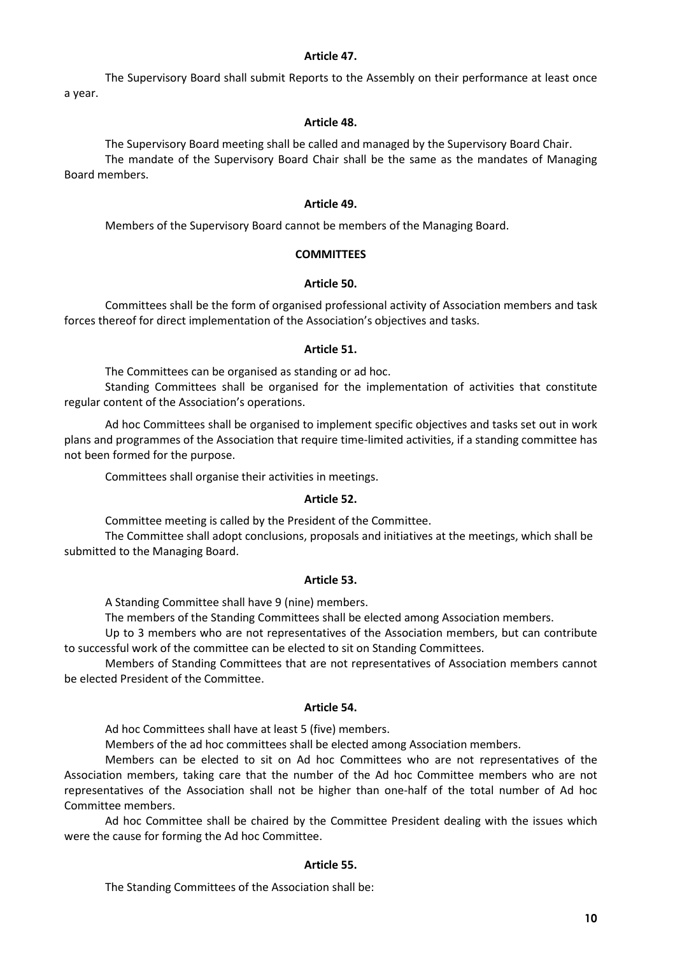## **Article 47.**

 The Supervisory Board shall submit Reports to the Assembly on their performance at least once a year.

#### **Article 48.**

 The Supervisory Board meeting shall be called and managed by the Supervisory Board Chair. The mandate of the Supervisory Board Chair shall be the same as the mandates of Managing Board members.

### **Article 49.**

Members of the Supervisory Board cannot be members of the Managing Board.

#### **COMMITTEES**

#### **Article 50.**

 Committees shall be the form of organised professional activity of Association members and task forces thereof for direct implementation of the Association's objectives and tasks.

#### **Article 51.**

The Committees can be organised as standing or ad hoc.

 Standing Committees shall be organised for the implementation of activities that constitute regular content of the Association's operations.

 Ad hoc Committees shall be organised to implement specific objectives and tasks set out in work plans and programmes of the Association that require time-limited activities, if a standing committee has not been formed for the purpose.

Committees shall organise their activities in meetings.

#### **Article 52.**

Committee meeting is called by the President of the Committee.

The Committee shall adopt conclusions, proposals and initiatives at the meetings, which shall be submitted to the Managing Board.

#### **Article 53.**

A Standing Committee shall have 9 (nine) members.

The members of the Standing Committees shall be elected among Association members.

Up to 3 members who are not representatives of the Association members, but can contribute to successful work of the committee can be elected to sit on Standing Committees.

Members of Standing Committees that are not representatives of Association members cannot be elected President of the Committee.

#### **Article 54.**

Ad hoc Committees shall have at least 5 (five) members.

Members of the ad hoc committees shall be elected among Association members.

Members can be elected to sit on Ad hoc Committees who are not representatives of the Association members, taking care that the number of the Ad hoc Committee members who are not representatives of the Association shall not be higher than one-half of the total number of Ad hoc Committee members.

Ad hoc Committee shall be chaired by the Committee President dealing with the issues which were the cause for forming the Ad hoc Committee.

## **Article 55.**

The Standing Committees of the Association shall be: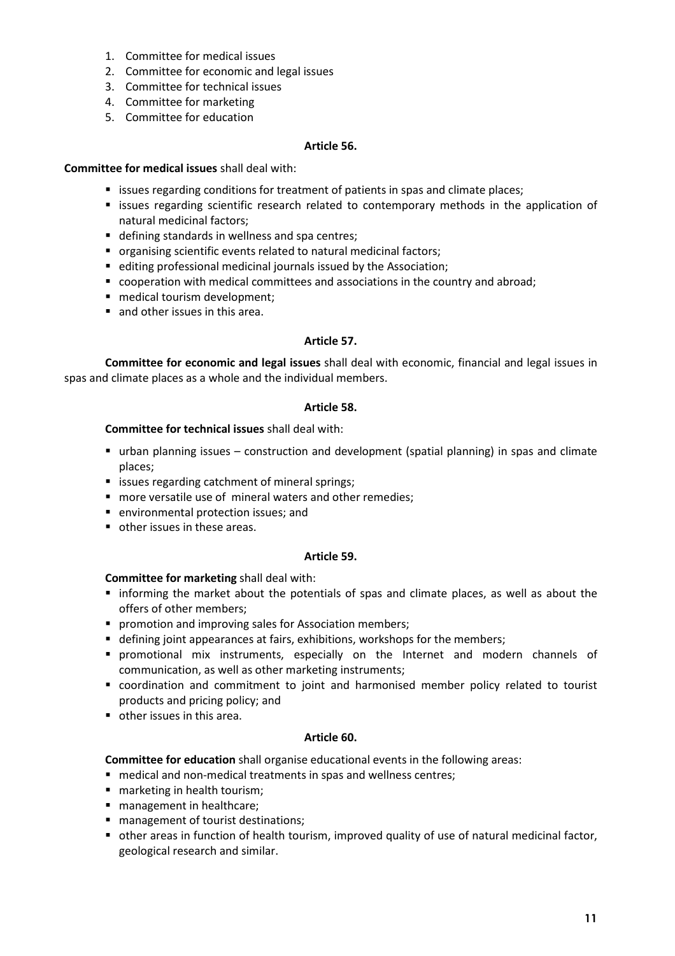- 1. Committee for medical issues
- 2. Committee for economic and legal issues
- 3. Committee for technical issues
- 4. Committee for marketing
- 5. Committee for education

# **Article 56.**

# **Committee for medical issues** shall deal with:

- **Example 1** issues regarding conditions for treatment of patients in spas and climate places;
- **Exercise regarding scientific research related to contemporary methods in the application of** natural medicinal factors;
- defining standards in wellness and spa centres;
- organising scientific events related to natural medicinal factors;
- editing professional medicinal journals issued by the Association;
- cooperation with medical committees and associations in the country and abroad;
- medical tourism development:
- and other issues in this area.

# **Article 57.**

**Committee for economic and legal issues** shall deal with economic, financial and legal issues in spas and climate places as a whole and the individual members.

# **Article 58.**

# **Committee for technical issues** shall deal with:

- urban planning issues construction and development (spatial planning) in spas and climate places;
- **EXTER** issues regarding catchment of mineral springs;
- **n** more versatile use of mineral waters and other remedies;
- environmental protection issues: and
- other issues in these areas.

# **Article 59.**

# **Committee for marketing** shall deal with:

- informing the market about the potentials of spas and climate places, as well as about the offers of other members;
- **P** promotion and improving sales for Association members;
- defining joint appearances at fairs, exhibitions, workshops for the members;
- promotional mix instruments, especially on the Internet and modern channels of communication, as well as other marketing instruments;
- coordination and commitment to joint and harmonised member policy related to tourist products and pricing policy; and
- other issues in this area.

# **Article 60.**

**Committee for education** shall organise educational events in the following areas:

- medical and non-medical treatments in spas and wellness centres;
- marketing in health tourism;
- management in healthcare;
- **nanagement of tourist destinations;**
- other areas in function of health tourism, improved quality of use of natural medicinal factor, geological research and similar.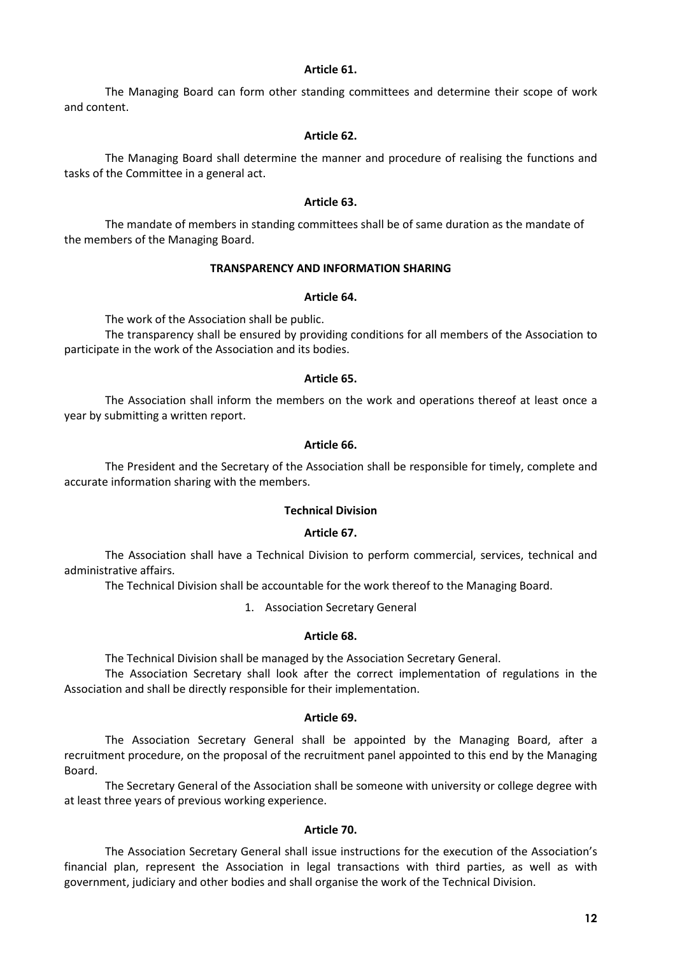### **Article 61.**

 The Managing Board can form other standing committees and determine their scope of work and content.

### **Article 62.**

 The Managing Board shall determine the manner and procedure of realising the functions and tasks of the Committee in a general act.

#### **Article 63.**

 The mandate of members in standing committees shall be of same duration as the mandate of the members of the Managing Board.

## **TRANSPARENCY AND INFORMATION SHARING**

#### **Article 64.**

The work of the Association shall be public.

 The transparency shall be ensured by providing conditions for all members of the Association to participate in the work of the Association and its bodies.

#### **Article 65.**

 The Association shall inform the members on the work and operations thereof at least once a year by submitting a written report.

## **Article 66.**

 The President and the Secretary of the Association shall be responsible for timely, complete and accurate information sharing with the members.

### **Technical Division**

#### **Article 67.**

 The Association shall have a Technical Division to perform commercial, services, technical and administrative affairs.

The Technical Division shall be accountable for the work thereof to the Managing Board.

1. Association Secretary General

### **Article 68.**

The Technical Division shall be managed by the Association Secretary General.

 The Association Secretary shall look after the correct implementation of regulations in the Association and shall be directly responsible for their implementation.

### **Article 69.**

 The Association Secretary General shall be appointed by the Managing Board, after a recruitment procedure, on the proposal of the recruitment panel appointed to this end by the Managing Board.

 The Secretary General of the Association shall be someone with university or college degree with at least three years of previous working experience.

## **Article 70.**

 The Association Secretary General shall issue instructions for the execution of the Association's financial plan, represent the Association in legal transactions with third parties, as well as with government, judiciary and other bodies and shall organise the work of the Technical Division.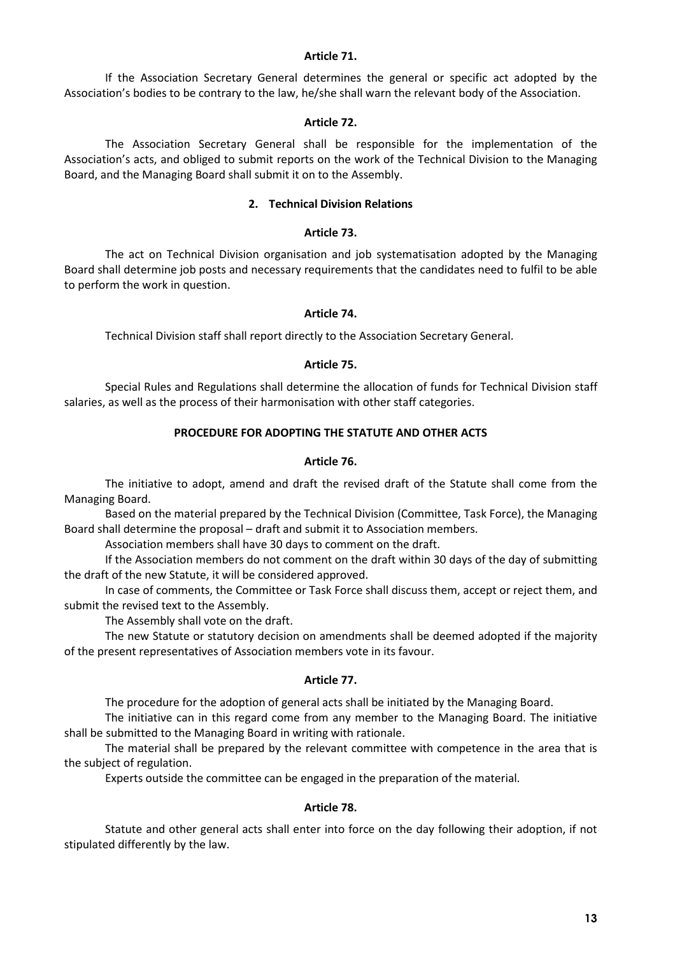## **Article 71.**

 If the Association Secretary General determines the general or specific act adopted by the Association's bodies to be contrary to the law, he/she shall warn the relevant body of the Association.

## **Article 72.**

 The Association Secretary General shall be responsible for the implementation of the Association's acts, and obliged to submit reports on the work of the Technical Division to the Managing Board, and the Managing Board shall submit it on to the Assembly.

## **2. Technical Division Relations**

#### **Article 73.**

 The act on Technical Division organisation and job systematisation adopted by the Managing Board shall determine job posts and necessary requirements that the candidates need to fulfil to be able to perform the work in question.

#### **Article 74.**

Technical Division staff shall report directly to the Association Secretary General.

#### **Article 75.**

 Special Rules and Regulations shall determine the allocation of funds for Technical Division staff salaries, as well as the process of their harmonisation with other staff categories.

### **PROCEDURE FOR ADOPTING THE STATUTE AND OTHER ACTS**

#### **Article 76.**

 The initiative to adopt, amend and draft the revised draft of the Statute shall come from the Managing Board.

 Based on the material prepared by the Technical Division (Committee, Task Force), the Managing Board shall determine the proposal – draft and submit it to Association members.

Association members shall have 30 days to comment on the draft.

 If the Association members do not comment on the draft within 30 days of the day of submitting the draft of the new Statute, it will be considered approved.

 In case of comments, the Committee or Task Force shall discuss them, accept or reject them, and submit the revised text to the Assembly.

The Assembly shall vote on the draft.

 The new Statute or statutory decision on amendments shall be deemed adopted if the majority of the present representatives of Association members vote in its favour.

## **Article 77.**

The procedure for the adoption of general acts shall be initiated by the Managing Board.

 The initiative can in this regard come from any member to the Managing Board. The initiative shall be submitted to the Managing Board in writing with rationale.

 The material shall be prepared by the relevant committee with competence in the area that is the subject of regulation.

Experts outside the committee can be engaged in the preparation of the material.

## **Article 78.**

 Statute and other general acts shall enter into force on the day following their adoption, if not stipulated differently by the law.